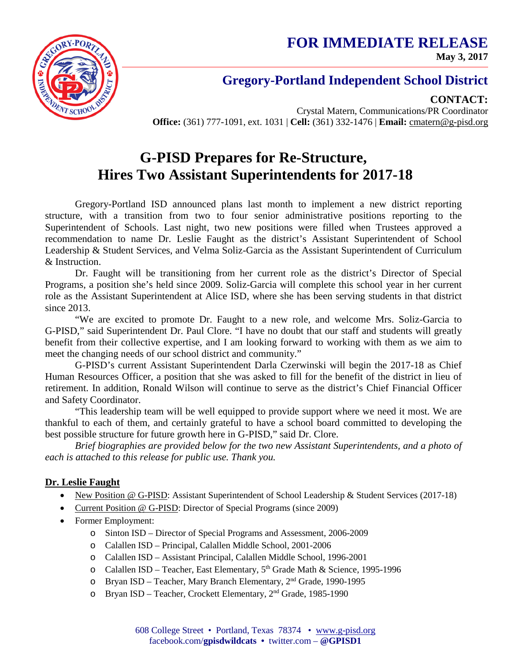**FOR IMMEDIATE RELEASE May 3, 2017**



### **Gregory-Portland Independent School District**

**CONTACT:**

Crystal Matern, Communications/PR Coordinator **Office:** (361) 777-1091, ext. 1031 | **Cell:** (361) 332-1476 | **Email:** cmatern@g-pisd.org

# **G-PISD Prepares for Re-Structure, Hires Two Assistant Superintendents for 2017-18**

Gregory-Portland ISD announced plans last month to implement a new district reporting structure, with a transition from two to four senior administrative positions reporting to the Superintendent of Schools. Last night, two new positions were filled when Trustees approved a recommendation to name Dr. Leslie Faught as the district's Assistant Superintendent of School Leadership & Student Services, and Velma Soliz-Garcia as the Assistant Superintendent of Curriculum & Instruction.

Dr. Faught will be transitioning from her current role as the district's Director of Special Programs, a position she's held since 2009. Soliz-Garcia will complete this school year in her current role as the Assistant Superintendent at Alice ISD, where she has been serving students in that district since 2013.

"We are excited to promote Dr. Faught to a new role, and welcome Mrs. Soliz-Garcia to G-PISD," said Superintendent Dr. Paul Clore. "I have no doubt that our staff and students will greatly benefit from their collective expertise, and I am looking forward to working with them as we aim to meet the changing needs of our school district and community."

G-PISD's current Assistant Superintendent Darla Czerwinski will begin the 2017-18 as Chief Human Resources Officer, a position that she was asked to fill for the benefit of the district in lieu of retirement. In addition, Ronald Wilson will continue to serve as the district's Chief Financial Officer and Safety Coordinator.

"This leadership team will be well equipped to provide support where we need it most. We are thankful to each of them, and certainly grateful to have a school board committed to developing the best possible structure for future growth here in G-PISD," said Dr. Clore.

*Brief biographies are provided below for the two new Assistant Superintendents, and a photo of each is attached to this release for public use. Thank you.*

### **Dr. Leslie Faught**

- New Position @ G-PISD: Assistant Superintendent of School Leadership & Student Services (2017-18)
- Current Position @ G-PISD: Director of Special Programs (since 2009)
- Former Employment:
	- o Sinton ISD Director of Special Programs and Assessment, 2006-2009
	- o Calallen ISD Principal, Calallen Middle School, 2001-2006
	- o Calallen ISD Assistant Principal, Calallen Middle School, 1996-2001
	- o Calallen ISD Teacher, East Elementary, 5<sup>th</sup> Grade Math & Science, 1995-1996
	- o Bryan ISD Teacher, Mary Branch Elementary, 2nd Grade, 1990-1995
	- o Bryan ISD Teacher, Crockett Elementary, 2nd Grade, 1985-1990